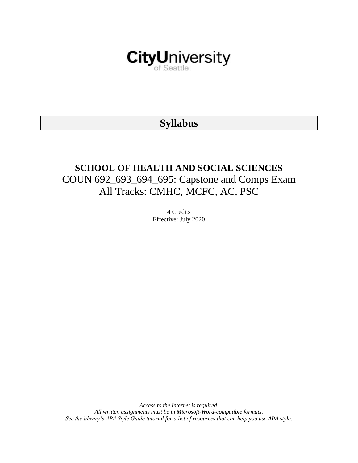

# **Syllabus**

# **SCHOOL OF HEALTH AND SOCIAL SCIENCES** COUN 692\_693\_694\_695: Capstone and Comps Exam All Tracks: CMHC, MCFC, AC, PSC

4 Credits Effective: July 2020

*Access to the Internet is required. All written assignments must be in Microsoft-Word-compatible formats. See the library's APA Style Guide tutorial for a list of resources that can help you use APA style.*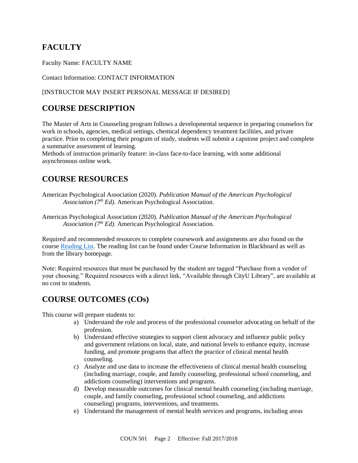# **FACULTY**

Faculty Name: FACULTY NAME

Contact Information: CONTACT INFORMATION

### [INSTRUCTOR MAY INSERT PERSONAL MESSAGE IF DESIRED]

# **COURSE DESCRIPTION**

The Master of Arts in Counseling program follows a developmental sequence in preparing counselors for work in schools, agencies, medical settings, chemical dependency treatment facilities, and private practice. Prior to completing their program of study, students will submit a capstone project and complete a summative assessment of learning.

Methods of instruction primarily feature: in-class face-to-face learning, with some additional asynchronous online work.

# **COURSE RESOURCES**

American Psychological Association (2020). *Publication Manual of the American Psychological Association (7th Ed).* American Psychological Association.

American Psychological Association (2020). *Publication Manual of the American Psychological Association (7th Ed).* American Psychological Association.

Required and recommended resources to complete coursework and assignments are also found on the course [Reading List.](https://nam03.safelinks.protection.outlook.com/?url=https%3A%2F%2Fcityu.alma.exlibrisgroup.com%2Fleganto%2Flogin%3Fauth%3DSAML&data=04%7C01%7CMMara%40cityu.edu%7C70673ce0fe0144040eda08d87472e204%7Cb3fa96d9f5154662add763d854e39e63%7C1%7C0%7C637387384066198115%7CUnknown%7CTWFpbGZsb3d8eyJWIjoiMC4wLjAwMDAiLCJQIjoiV2luMzIiLCJBTiI6Ik1haWwiLCJXVCI6Mn0%3D%7C1000&sdata=JbwP%2Fm5Q%2BMgIUWa%2FXceos%2BoiLv0DX%2B%2FL%2BNGNMbX9P8E%3D&reserved=0) The reading list can be found under Course Information in Blackboard as well as from the library homepage.

Note: Required resources that must be purchased by the student are tagged "Purchase from a vendor of your choosing." Required resources with a direct link, "Available through CityU Library", are available at no cost to students.

# **COURSE OUTCOMES (COs)**

This course will prepare students to:

- a) Understand the role and process of the professional counselor advocating on behalf of the profession.
- b) Understand effective strategies to support client advocacy and influence public policy and government relations on local, state, and national levels to enhance equity, increase funding, and promote programs that affect the practice of clinical mental health counseling.
- c) Analyze and use data to increase the effectiveness of clinical mental health counseling (including marriage, couple, and family counseling, professional school counseling, and addictions counseling) interventions and programs.
- d) Develop measurable outcomes for clinical mental health counseling (including marriage, couple, and family counseling, professional school counseling, and addictions counseling) programs, interventions, and treatments.
- e) Understand the management of mental health services and programs, including areas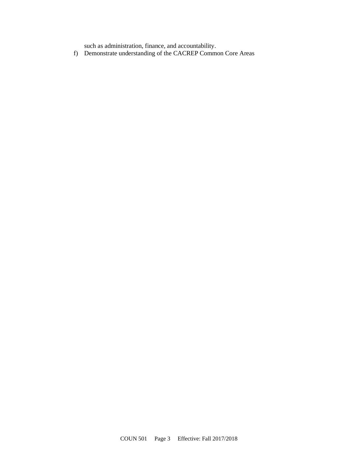such as administration, finance, and accountability.

f) Demonstrate understanding of the CACREP Common Core Areas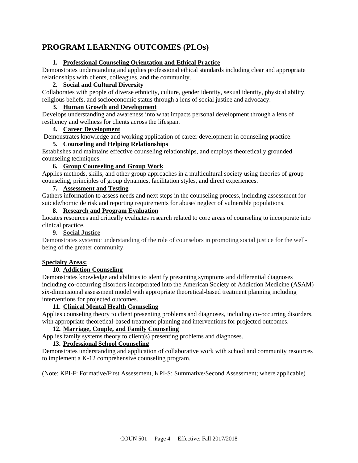# **PROGRAM LEARNING OUTCOMES (PLOs)**

### **1. Professional Counseling Orientation and Ethical Practice**

Demonstrates understanding and applies professional ethical standards including clear and appropriate relationships with clients, colleagues, and the community.

### **2. Social and Cultural Diversity**

Collaborates with people of diverse ethnicity, culture, gender identity, sexual identity, physical ability, religious beliefs, and socioeconomic status through a lens of social justice and advocacy.

### **3. Human Growth and Development**

Develops understanding and awareness into what impacts personal development through a lens of resiliency and wellness for clients across the lifespan.

### **4. Career Development**

Demonstrates knowledge and working application of career development in counseling practice.

### **5. Counseling and Helping Relationships**

Establishes and maintains effective counseling relationships, and employs theoretically grounded counseling techniques.

### **6. Group Counseling and Group Work**

Applies methods, skills, and other group approaches in a multicultural society using theories of group counseling, principles of group dynamics, facilitation styles, and direct experiences.

### **7. Assessment and Testing**

Gathers information to assess needs and next steps in the counseling process, including assessment for suicide/homicide risk and reporting requirements for abuse/ neglect of vulnerable populations.

### **8. Research and Program Evaluation**

Locates resources and critically evaluates research related to core areas of counseling to incorporate into clinical practice.

### **9. Social Justice**

Demonstrates systemic understanding of the role of counselors in promoting social justice for the wellbeing of the greater community.

### **Specialty Areas:**

### **10. Addiction Counseling**

Demonstrates knowledge and abilities to identify presenting symptoms and differential diagnoses including co-occurring disorders incorporated into the American Society of Addiction Medicine (ASAM) six-dimensional assessment model with appropriate theoretical-based treatment planning including interventions for projected outcomes.

### **11. Clinical Mental Health Counseling**

Applies counseling theory to client presenting problems and diagnoses, including co-occurring disorders, with appropriate theoretical-based treatment planning and interventions for projected outcomes.

### **12. Marriage, Couple, and Family Counseling**

Applies family systems theory to client(s) presenting problems and diagnoses.

### **13. Professional School Counseling**

Demonstrates understanding and application of collaborative work with school and community resources to implement a K-12 comprehensive counseling program.

(Note: KPI-F: Formative/First Assessment, KPI-S: Summative/Second Assessment; where applicable)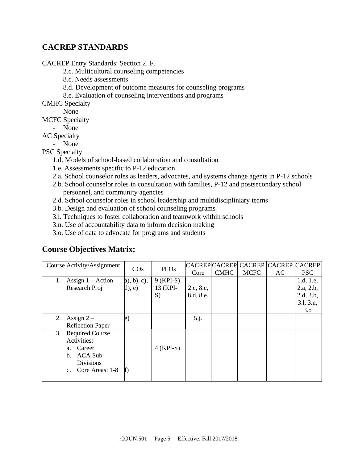# **CACREP STANDARDS**

CACREP Entry Standards: Section 2. F.

- 2.c. Multicultural counseling competencies
- 8.c. Needs assessments
- 8.d. Development of outcome measures for counseling programs
- 8.e. Evaluation of counseling interventions and programs

CMHC Specialty

- None
- MCFC Specialty
	- None
- AC Specialty
	- None

### PSC Specialty

- 1.d. Models of school-based collaboration and consultation
- 1.e. Assessments specific to P-12 education
- 2.a. School counselor roles as leaders, advocates, and systems change agents in P-12 schools
- 2.b. School counselor roles in consultation with families, P-12 and postsecondary school personnel, and community agencies
- 2.d. School counselor roles in school leadership and multidiscipliniary teams
- 3.b. Design and evaluation of school counseling programs
- 3.l. Techniques to foster collaboration and teamwork within schools
- 3.n. Use of accountability data to inform decision making
- 3.o. Use of data to advocate for programs and students

### **Course Objectives Matrix:**

| Course Activity/Assignment   | $\cos$         | <b>PLOs</b> |           |             | CACREPCACREPCACREPCACREPCACREP |    |            |
|------------------------------|----------------|-------------|-----------|-------------|--------------------------------|----|------------|
|                              |                |             | Core      | <b>CMHC</b> | <b>MCFC</b>                    | AC | <b>PSC</b> |
| Assign $1 -$ Action<br>1.    | $a)$ , b), c), | 9 (KPI-S),  |           |             |                                |    | 1.d, 1.e,  |
| Research Proj                | $d$ ), e)      | 13 (KPI-    | 2.c, 8.c, |             |                                |    | 2.a, 2.b,  |
|                              |                | S)          | 8.d, 8.e. |             |                                |    | 2.d, 3.b,  |
|                              |                |             |           |             |                                |    | 3.1, 3.n,  |
|                              |                |             |           |             |                                |    | 3.0        |
| Assign $2-$<br>2.            | e)             |             | 5.j.      |             |                                |    |            |
| <b>Reflection Paper</b>      |                |             |           |             |                                |    |            |
| <b>Required Course</b><br>3. |                |             |           |             |                                |    |            |
| Activities:                  |                |             |           |             |                                |    |            |
| a. Career                    |                | $4$ (KPI-S) |           |             |                                |    |            |
| ACA Sub-<br>b.               |                |             |           |             |                                |    |            |
| <b>Divisions</b>             |                |             |           |             |                                |    |            |
| Core Areas: 1-8              | $f$ )          |             |           |             |                                |    |            |
|                              |                |             |           |             |                                |    |            |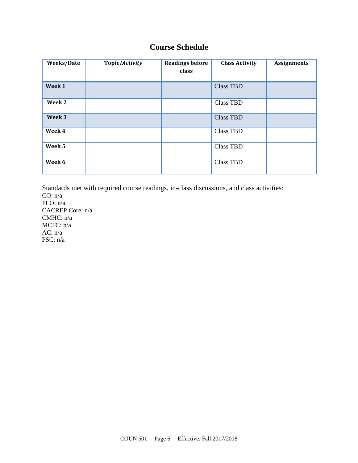# **Course Schedule**

| Weeks/Date | Topic/Activity | <b>Readings before</b><br>class | <b>Class Activity</b> | <b>Assignments</b> |
|------------|----------------|---------------------------------|-----------------------|--------------------|
| Week 1     |                |                                 | <b>Class TBD</b>      |                    |
| Week 2     |                |                                 | <b>Class TBD</b>      |                    |
| Week 3     |                |                                 | <b>Class TBD</b>      |                    |
| Week 4     |                |                                 | <b>Class TBD</b>      |                    |
| Week 5     |                |                                 | <b>Class TBD</b>      |                    |
| Week 6     |                |                                 | <b>Class TBD</b>      |                    |

Standards met with required course readings, in-class discussions, and class activities: CO: n/a  $PLO: n/a$ CACREP Core: n/a CMHC: n/a MCFC: n/a AC: n/a PSC: n/a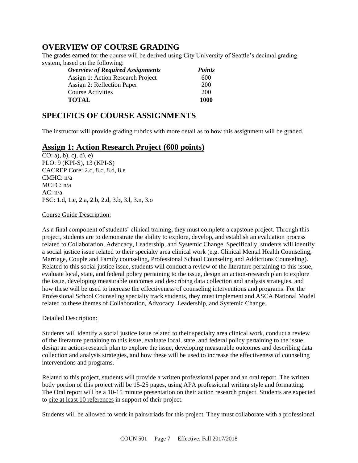### **OVERVIEW OF COURSE GRADING**

The grades earned for the course will be derived using City University of Seattle's decimal grading system, based on the following:

| <b>Overview of Required Assignments</b> | <b>Points</b> |
|-----------------------------------------|---------------|
| Assign 1: Action Research Project       | 600           |
| Assign 2: Reflection Paper              | 200           |
| Course Activities                       | 200           |
| <b>TOTAL</b>                            | 1000          |

# **SPECIFICS OF COURSE ASSIGNMENTS**

The instructor will provide grading rubrics with more detail as to how this assignment will be graded.

### **Assign 1: Action Research Project (600 points)**

 $\overline{CO: a)$ , b), c), d), e) PLO: 9 (KPI-S), 13 (KPI-S) CACREP Core: 2.c, 8.c, 8.d, 8.e CMHC: n/a MCFC: n/a AC:  $n/a$ PSC: 1.d, 1.e, 2.a, 2.b, 2.d, 3.b, 3.l, 3.n, 3.o

### Course Guide Description:

As a final component of students' clinical training, they must complete a capstone project. Through this project, students are to demonstrate the ability to explore, develop, and establish an evaluation process related to Collaboration, Advocacy, Leadership, and Systemic Change. Specifically, students will identify a social justice issue related to their specialty area clinical work (e.g. Clinical Mental Health Counseling, Marriage, Couple and Family counseling, Professional School Counseling and Addictions Counseling). Related to this social justice issue, students will conduct a review of the literature pertaining to this issue, evaluate local, state, and federal policy pertaining to the issue, design an action-research plan to explore the issue, developing measurable outcomes and describing data collection and analysis strategies, and how these will be used to increase the effectiveness of counseling interventions and programs. For the Professional School Counseling specialty track students, they must implement and ASCA National Model related to these themes of Collaboration, Advocacy, Leadership, and Systemic Change.

### Detailed Description:

Students will identify a social justice issue related to their specialty area clinical work, conduct a review of the literature pertaining to this issue, evaluate local, state, and federal policy pertaining to the issue, design an action-research plan to explore the issue, developing measurable outcomes and describing data collection and analysis strategies, and how these will be used to increase the effectiveness of counseling interventions and programs.

Related to this project, students will provide a written professional paper and an oral report. The written body portion of this project will be 15-25 pages, using APA professional writing style and formatting. The Oral report will be a 10-15 minute presentation on their action research project. Students are expected to cite at least 10 references in support of their project.

Students will be allowed to work in pairs/triads for this project. They must collaborate with a professional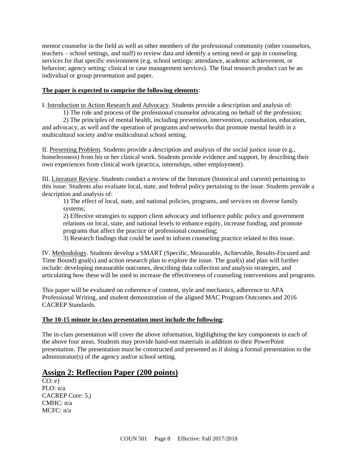mentor counselor in the field as well as other members of the professional community (other counselors, teachers – school settings, and staff) to review data and identify a setting need or gap in counseling services for that specific environment (e.g. school settings: attendance, academic achievement, or behavior; agency setting: clinical or case management services). The final research product can be an individual or group presentation and paper.

### **The paper is expected to comprise the following elements**:

I. Introduction to Action Research and Advocacy. Students provide a description and analysis of:

1) The role and process of the professional counselor advocating on behalf of the profession;

2) The principles of mental health, including prevention, intervention, consultation, education, and advocacy, as well and the operation of programs and networks that promote mental health in a multicultural society and/or multicultural school setting.

II. Presenting Problem. Students provide a description and analysis of the social justice issue (e.g., homelessness) from his or her clinical work. Students provide evidence and support, by describing their own experiences from clinical work (practica, internships, other employment).

III. Literature Review. Students conduct a review of the literature (historical and current) pertaining to this issue. Students also evaluate local, state, and federal policy pertaining to the issue. Students provide a description and analysis of:

1) The effect of local, state, and national policies, programs, and services on diverse family systems;

2) Effective strategies to support client advocacy and influence public policy and government relations on local, state, and national levels to enhance equity, increase funding, and promote programs that affect the practice of professional counseling;

3) Research findings that could be used to inform counseling practice related to this issue.

IV. Methodology. Students develop a SMART (Specific, Measurable, Achievable, Results-Focused and Time Bound) goal(s) and action research plan to explore the issue. The goal(s) and plan will further include: developing measurable outcomes, describing data collection and analysis strategies, and articulating how these will be used to increase the effectiveness of counseling interventions and programs.

This paper will be evaluated on coherence of content, style and mechanics, adherence to APA Professional Writing, and student demonstration of the aligned MAC Program Outcomes and 2016 CACREP Standards.

### **The 10-15 minute in-class presentation must include the following**:

The in-class presentation will cover the above information, highlighting the key components in each of the above four areas. Students may provide hand-out materials in addition to their PowerPoint presentation. The presentation must be constructed and presented as if doing a formal presentation to the administrator(s) of the agency and/or school setting.

### **Assign 2: Reflection Paper (200 points)**

 $\overline{CO$ : e) PLO: n/a CACREP Core: 5.j CMHC: n/a MCFC: n/a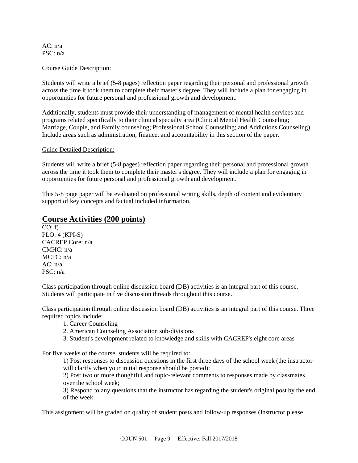#### AC: n/a PSC: n/a

#### Course Guide Description:

Students will write a brief (5-8 pages) reflection paper regarding their personal and professional growth across the time it took them to complete their master's degree. They will include a plan for engaging in opportunities for future personal and professional growth and development.

Additionally, students must provide their understanding of management of mental health services and programs related specifically to their clinical specialty area (Clinical Mental Health Counseling; Marriage, Couple, and Family counseling; Professional School Counseling; and Addictions Counseling). Include areas such as administration, finance, and accountability in this section of the paper.

#### Guide Detailed Description:

Students will write a brief (5-8 pages) reflection paper regarding their personal and professional growth across the time it took them to complete their master's degree. They will include a plan for engaging in opportunities for future personal and professional growth and development.

This 5-8 page paper will be evaluated on professional writing skills, depth of content and evidentiary support of key concepts and factual included information.

### **Course Activities (200 points)**

 $CO: f$ PLO: 4 (KPI-S) CACREP Core: n/a CMHC: n/a MCFC: n/a  $AC: n/a$ PSC: n/a

Class participation through online discussion board (DB) activities is an integral part of this course. Students will participate in five discussion threads throughout this course.

Class participation through online discussion board (DB) activities is an integral part of this course. Three required topics include:

- 1. Career Counseling
- 2. American Counseling Association sub-divisions
- 3. Student's development related to knowledge and skills with CACREP's eight core areas

For five weeks of the course, students will be required to:

1) Post responses to discussion questions in the first three days of the school week (the instructor will clarify when your initial response should be posted);

2) Post two or more thoughtful and topic-relevant comments to responses made by classmates over the school week;

3) Respond to any questions that the instructor has regarding the student's original post by the end of the week.

This assignment will be graded on quality of student posts and follow-up responses (Instructor please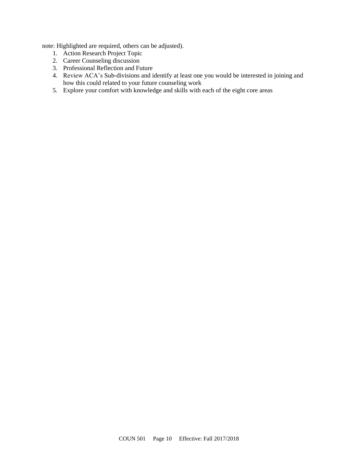note: Highlighted are required, others can be adjusted).

- 1. Action Research Project Topic
- 2. Career Counseling discussion
- 3. Professional Reflection and Future
- 4. Review ACA's Sub-divisions and identify at least one you would be interested in joining and how this could related to your future counseling work
- 5. Explore your comfort with knowledge and skills with each of the eight core areas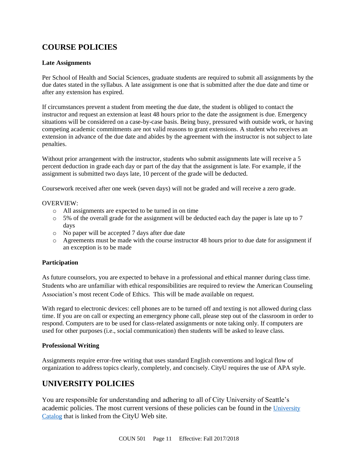# **COURSE POLICIES**

### **Late Assignments**

Per School of Health and Social Sciences, graduate students are required to submit all assignments by the due dates stated in the syllabus. A late assignment is one that is submitted after the due date and time or after any extension has expired.

If circumstances prevent a student from meeting the due date, the student is obliged to contact the instructor and request an extension at least 48 hours prior to the date the assignment is due. Emergency situations will be considered on a case-by-case basis. Being busy, pressured with outside work, or having competing academic commitments are not valid reasons to grant extensions. A student who receives an extension in advance of the due date and abides by the agreement with the instructor is not subject to late penalties.

Without prior arrangement with the instructor, students who submit assignments late will receive a 5 percent deduction in grade each day or part of the day that the assignment is late. For example, if the assignment is submitted two days late, 10 percent of the grade will be deducted.

Coursework received after one week (seven days) will not be graded and will receive a zero grade.

#### OVERVIEW:

- o All assignments are expected to be turned in on time
- $\circ$  5% of the overall grade for the assignment will be deducted each day the paper is late up to 7 days
- o No paper will be accepted 7 days after due date
- o Agreements must be made with the course instructor 48 hours prior to due date for assignment if an exception is to be made

### **Participation**

As future counselors, you are expected to behave in a professional and ethical manner during class time. Students who are unfamiliar with ethical responsibilities are required to review the American Counseling Association's most recent Code of Ethics. This will be made available on request.

With regard to electronic devices: cell phones are to be turned off and texting is not allowed during class time. If you are on call or expecting an emergency phone call, please step out of the classroom in order to respond. Computers are to be used for class-related assignments or note taking only. If computers are used for other purposes (i.e., social communication) then students will be asked to leave class.

### **Professional Writing**

Assignments require error-free writing that uses standard English conventions and logical flow of organization to address topics clearly, completely, and concisely. CityU requires the use of APA style.

# **UNIVERSITY POLICIES**

You are responsible for understanding and adhering to all of City University of Seattle's academic policies. The most current versions of these policies can be found in the University [Catalog](https://www.cityu.edu/catalog/) that is linked from the CityU Web site.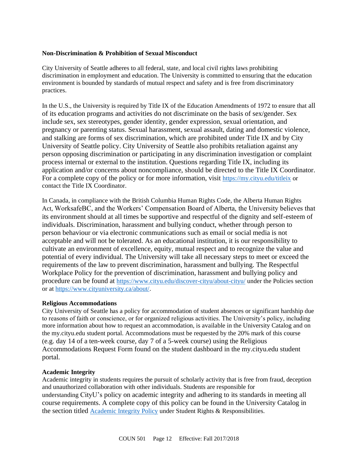### **Non-Discrimination & Prohibition of Sexual Misconduct**

City University of Seattle adheres to all federal, state, and local civil rights laws prohibiting discrimination in employment and education. The University is committed to ensuring that the education environment is bounded by standards of mutual respect and safety and is free from discriminatory practices.

In the U.S., the University is required by Title IX of the Education Amendments of 1972 to ensure that all of its education programs and activities do not discriminate on the basis of sex/gender. Sex include sex, sex stereotypes, gender identity, gender expression, sexual orientation, and pregnancy or parenting status. Sexual harassment, sexual assault, dating and domestic violence, and stalking are forms of sex discrimination, which are prohibited under Title IX and by City University of Seattle policy. City University of Seattle also prohibits retaliation against any person opposing discrimination or participating in any discrimination investigation or complaint process internal or external to the institution. Questions regarding Title IX, including its application and/or concerns about noncompliance, should be directed to the Title IX Coordinator. For a complete copy of the policy or for more information, visit <https://my.cityu.edu/titleix> or contact the Title IX Coordinator.

In Canada, in compliance with the British Columbia Human Rights Code, the Alberta Human Rights Act, WorksafeBC, and the Workers' Compensation Board of Alberta, the University believes that its environment should at all times be supportive and respectful of the dignity and self-esteem of individuals. Discrimination, harassment and bullying conduct, whether through person to person behaviour or via electronic communications such as email or social media is not acceptable and will not be tolerated. As an educational institution, it is our responsibility to cultivate an environment of excellence, equity, mutual respect and to recognize the value and potential of every individual. The University will take all necessary steps to meet or exceed the requirements of the law to prevent discrimination, harassment and bullying. The Respectful Workplace Policy for the prevention of discrimination, harassment and bullying policy and procedure can be found at <https://www.cityu.edu/discover-cityu/about-cityu/> under the Policies section or at <https://www.cityuniversity.ca/about/>.

### **Religious Accommodations**

City University of Seattle has a policy for accommodation of student absences or significant hardship due to reasons of faith or conscience, or for organized religious activities. The University's policy, including more information about how to request an accommodation, is available in the University Catalog and on the my.cityu.edu student portal. Accommodations must be requested by the 20% mark of this course (e.g. day 14 of a ten-week course, day 7 of a 5-week course) using the Religious Accommodations Request Form found on the student dashboard in the my.cityu.edu student portal.

### **Academic Integrity**

Academic integrity in students requires the pursuit of scholarly activity that is free from fraud, deception and unauthorized collaboration with other individuals. Students are responsible for understanding CityU's policy on academic integrity and adhering to its standards in meeting all course requirements. A complete copy of this policy can be found in the University Catalog in the section titled [Academic Integrity Policy](https://www.cityu.edu/catalog/;) under Student Rights & Responsibilities.